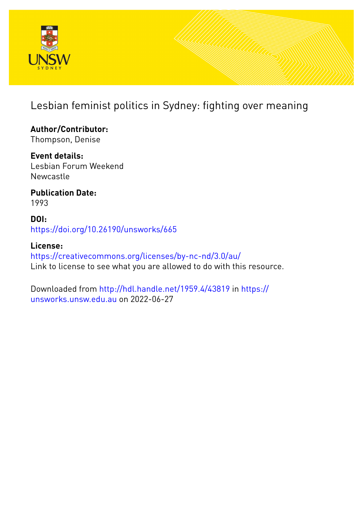

## Lesbian feminist politics in Sydney: fighting over meaning

**Author/Contributor:** Thompson, Denise

**Event details:** Lesbian Forum Weekend **Newcastle** 

**Publication Date:** 1993

**DOI:** [https://doi.org/10.26190/unsworks/665](http://dx.doi.org/https://doi.org/10.26190/unsworks/665)

**License:** <https://creativecommons.org/licenses/by-nc-nd/3.0/au/> Link to license to see what you are allowed to do with this resource.

Downloaded from <http://hdl.handle.net/1959.4/43819> in [https://](https://unsworks.unsw.edu.au) [unsworks.unsw.edu.au](https://unsworks.unsw.edu.au) on 2022-06-27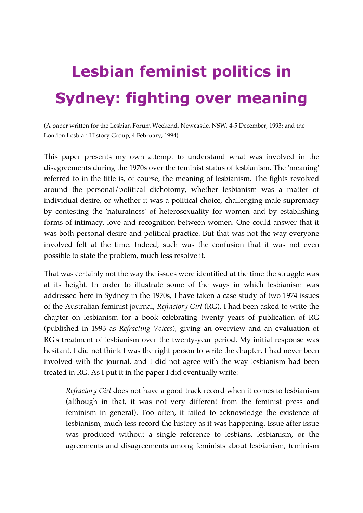# **Lesbian feminist politics in Sydney: fighting over meaning**

(A paper written for the Lesbian Forum Weekend, Newcastle, NSW, 4-5 December, 1993; and the London Lesbian History Group, 4 February, 1994).

This paper presents my own attempt to understand what was involved in the disagreements during the 1970s over the feminist status of lesbianism. The 'meaning' referred to in the title is, of course, the meaning of lesbianism. The fights revolved around the personal/political dichotomy, whether lesbianism was a matter of individual desire, or whether it was a political choice, challenging male supremacy by contesting the 'naturalness' of heterosexuality for women and by establishing forms of intimacy, love and recognition between women. One could answer that it was both personal desire and political practice. But that was not the way everyone involved felt at the time. Indeed, such was the confusion that it was not even possible to state the problem, much less resolve it.

That was certainly not the way the issues were identified at the time the struggle was at its height. In order to illustrate some of the ways in which lesbianism was addressed here in Sydney in the 1970s, I have taken a case study of two 1974 issues of the Australian feminist journal, *Refractory Girl* (RG). I had been asked to write the chapter on lesbianism for a book celebrating twenty years of publication of RG (published in 1993 as *Refracting Voices*), giving an overview and an evaluation of RG's treatment of lesbianism over the twenty-year period. My initial response was hesitant. I did not think I was the right person to write the chapter. I had never been involved with the journal, and I did not agree with the way lesbianism had been treated in RG. As I put it in the paper I did eventually write:

*Refractory Girl* does not have a good track record when it comes to lesbianism (although in that, it was not very different from the feminist press and feminism in general). Too often, it failed to acknowledge the existence of lesbianism, much less record the history as it was happening. Issue after issue was produced without a single reference to lesbians, lesbianism, or the agreements and disagreements among feminists about lesbianism, feminism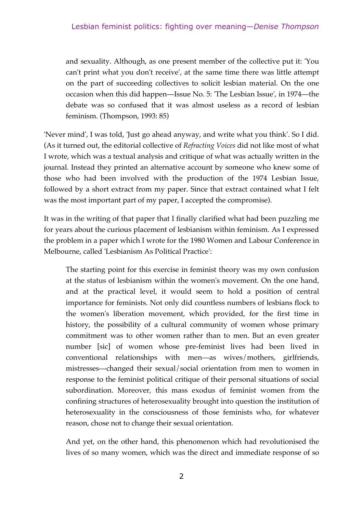and sexuality. Although, as one present member of the collective put it: 'You can't print what you don't receive', at the same time there was little attempt on the part of succeeding collectives to solicit lesbian material. On the one occasion when this did happen—Issue No. 5: 'The Lesbian Issue', in 1974—the debate was so confused that it was almost useless as a record of lesbian feminism. (Thompson, 1993: 85)

'Never mind', I was told, 'Just go ahead anyway, and write what you think'. So I did. (As it turned out, the editorial collective of *Refracting Voices* did not like most of what I wrote, which was a textual analysis and critique of what was actually written in the journal. Instead they printed an alternative account by someone who knew some of those who had been involved with the production of the 1974 Lesbian Issue, followed by a short extract from my paper. Since that extract contained what I felt was the most important part of my paper, I accepted the compromise).

It was in the writing of that paper that I finally clarified what had been puzzling me for years about the curious placement of lesbianism within feminism. As I expressed the problem in a paper which I wrote for the 1980 Women and Labour Conference in Melbourne, called 'Lesbianism As Political Practice':

The starting point for this exercise in feminist theory was my own confusion at the status of lesbianism within the women's movement. On the one hand, and at the practical level, it would seem to hold a position of central importance for feminists. Not only did countless numbers of lesbians flock to the women's liberation movement, which provided, for the first time in history, the possibility of a cultural community of women whose primary commitment was to other women rather than to men. But an even greater number [sic] of women whose pre-feminist lives had been lived in conventional relationships with men—as wives/mothers, girlfriends, mistresses—changed their sexual/social orientation from men to women in response to the feminist political critique of their personal situations of social subordination. Moreover, this mass exodus of feminist women from the confining structures of heterosexuality brought into question the institution of heterosexuality in the consciousness of those feminists who, for whatever reason, chose not to change their sexual orientation.

And yet, on the other hand, this phenomenon which had revolutionised the lives of so many women, which was the direct and immediate response of so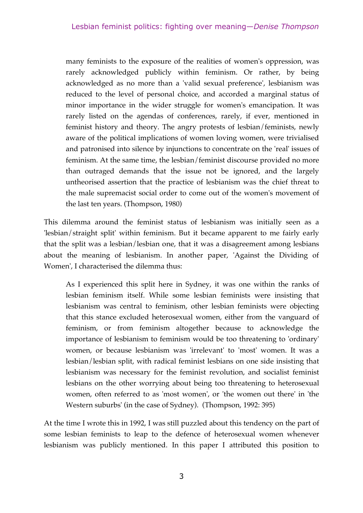many feminists to the exposure of the realities of women's oppression, was rarely acknowledged publicly within feminism. Or rather, by being acknowledged as no more than a 'valid sexual preference', lesbianism was reduced to the level of personal choice, and accorded a marginal status of minor importance in the wider struggle for women's emancipation. It was rarely listed on the agendas of conferences, rarely, if ever, mentioned in feminist history and theory. The angry protests of lesbian/feminists, newly aware of the political implications of women loving women, were trivialised and patronised into silence by injunctions to concentrate on the 'real' issues of feminism. At the same time, the lesbian/feminist discourse provided no more than outraged demands that the issue not be ignored, and the largely untheorised assertion that the practice of lesbianism was the chief threat to the male supremacist social order to come out of the women's movement of the last ten years. (Thompson, 1980)

This dilemma around the feminist status of lesbianism was initially seen as a 'lesbian/straight split' within feminism. But it became apparent to me fairly early that the split was a lesbian/lesbian one, that it was a disagreement among lesbians about the meaning of lesbianism. In another paper, 'Against the Dividing of Women', I characterised the dilemma thus:

As I experienced this split here in Sydney, it was one within the ranks of lesbian feminism itself. While some lesbian feminists were insisting that lesbianism was central to feminism, other lesbian feminists were objecting that this stance excluded heterosexual women, either from the vanguard of feminism, or from feminism altogether because to acknowledge the importance of lesbianism to feminism would be too threatening to 'ordinary' women, or because lesbianism was 'irrelevant' to 'most' women. It was a lesbian/lesbian split, with radical feminist lesbians on one side insisting that lesbianism was necessary for the feminist revolution, and socialist feminist lesbians on the other worrying about being too threatening to heterosexual women, often referred to as 'most women', or 'the women out there' in 'the Western suburbs' (in the case of Sydney). (Thompson, 1992: 395)

At the time I wrote this in 1992, I was still puzzled about this tendency on the part of some lesbian feminists to leap to the defence of heterosexual women whenever lesbianism was publicly mentioned. In this paper I attributed this position to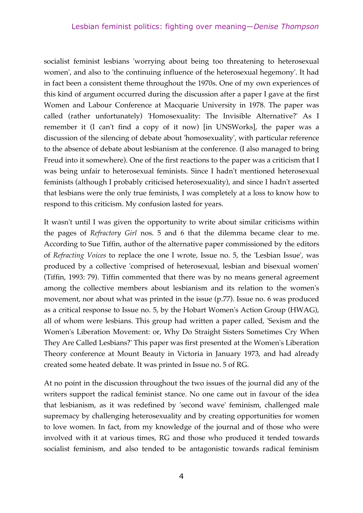socialist feminist lesbians 'worrying about being too threatening to heterosexual women', and also to 'the continuing influence of the heterosexual hegemony'. It had in fact been a consistent theme throughout the 1970s. One of my own experiences of this kind of argument occurred during the discussion after a paper I gave at the first Women and Labour Conference at Macquarie University in 1978. The paper was called (rather unfortunately) 'Homosexuality: The Invisible Alternative?' As I remember it (I can't find a copy of it now) [in UNSWorks], the paper was a discussion of the silencing of debate about 'homosexuality', with particular reference to the absence of debate about lesbianism at the conference. (I also managed to bring Freud into it somewhere). One of the first reactions to the paper was a criticism that I was being unfair to heterosexual feminists. Since I hadn't mentioned heterosexual feminists (although I probably criticised heterosexuality), and since I hadn't asserted that lesbians were the only true feminists, I was completely at a loss to know how to respond to this criticism. My confusion lasted for years.

It wasn't until I was given the opportunity to write about similar criticisms within the pages of *Refractory Girl* nos. 5 and 6 that the dilemma became clear to me. According to Sue Tiffin, author of the alternative paper commissioned by the editors of *Refracting Voices* to replace the one I wrote, Issue no. 5, the 'Lesbian Issue', was produced by a collective 'comprised of heterosexual, lesbian and bisexual women' (Tiffin, 1993: 79). Tiffin commented that there was by no means general agreement among the collective members about lesbianism and its relation to the women's movement, nor about what was printed in the issue (p.77). Issue no. 6 was produced as a critical response to Issue no. 5, by the Hobart Women's Action Group (HWAG), all of whom were lesbians. This group had written a paper called, 'Sexism and the Women's Liberation Movement: or, Why Do Straight Sisters Sometimes Cry When They Are Called Lesbians?' This paper was first presented at the Women's Liberation Theory conference at Mount Beauty in Victoria in January 1973, and had already created some heated debate. It was printed in Issue no. 5 of RG.

At no point in the discussion throughout the two issues of the journal did any of the writers support the radical feminist stance. No one came out in favour of the idea that lesbianism, as it was redefined by 'second wave' feminism, challenged male supremacy by challenging heterosexuality and by creating opportunities for women to love women. In fact, from my knowledge of the journal and of those who were involved with it at various times, RG and those who produced it tended towards socialist feminism, and also tended to be antagonistic towards radical feminism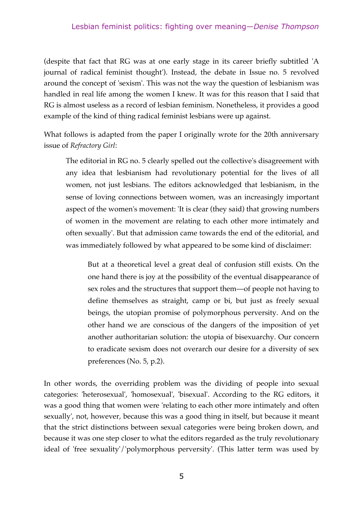#### Lesbian feminist politics: fighting over meaning—*Denise Thompson*

(despite that fact that RG was at one early stage in its career briefly subtitled 'A journal of radical feminist thought'). Instead, the debate in Issue no. 5 revolved around the concept of 'sexism'. This was not the way the question of lesbianism was handled in real life among the women I knew. It was for this reason that I said that RG is almost useless as a record of lesbian feminism. Nonetheless, it provides a good example of the kind of thing radical feminist lesbians were up against.

What follows is adapted from the paper I originally wrote for the 20th anniversary issue of *Refractory Girl*:

The editorial in RG no. 5 clearly spelled out the collective's disagreement with any idea that lesbianism had revolutionary potential for the lives of all women, not just lesbians. The editors acknowledged that lesbianism, in the sense of loving connections between women, was an increasingly important aspect of the women's movement: 'It is clear (they said) that growing numbers of women in the movement are relating to each other more intimately and often sexually'. But that admission came towards the end of the editorial, and was immediately followed by what appeared to be some kind of disclaimer:

But at a theoretical level a great deal of confusion still exists. On the one hand there is joy at the possibility of the eventual disappearance of sex roles and the structures that support them—of people not having to define themselves as straight, camp or bi, but just as freely sexual beings, the utopian promise of polymorphous perversity. And on the other hand we are conscious of the dangers of the imposition of yet another authoritarian solution: the utopia of bisexuarchy. Our concern to eradicate sexism does not overarch our desire for a diversity of sex preferences (No. 5, p.2).

In other words, the overriding problem was the dividing of people into sexual categories: 'heterosexual', 'homosexual', 'bisexual'. According to the RG editors, it was a good thing that women were 'relating to each other more intimately and often sexually', not, however, because this was a good thing in itself, but because it meant that the strict distinctions between sexual categories were being broken down, and because it was one step closer to what the editors regarded as the truly revolutionary ideal of 'free sexuality'/'polymorphous perversity'. (This latter term was used by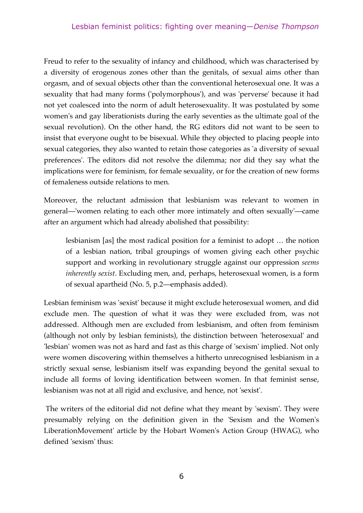Freud to refer to the sexuality of infancy and childhood, which was characterised by a diversity of erogenous zones other than the genitals, of sexual aims other than orgasm, and of sexual objects other than the conventional heterosexual one. It was a sexuality that had many forms ('polymorphous'), and was 'perverse' because it had not yet coalesced into the norm of adult heterosexuality. It was postulated by some women's and gay liberationists during the early seventies as the ultimate goal of the sexual revolution). On the other hand, the RG editors did not want to be seen to insist that everyone ought to be bisexual. While they objected to placing people into sexual categories, they also wanted to retain those categories as 'a diversity of sexual preferences'. The editors did not resolve the dilemma; nor did they say what the implications were for feminism, for female sexuality, or for the creation of new forms of femaleness outside relations to men.

Moreover, the reluctant admission that lesbianism was relevant to women in general—'women relating to each other more intimately and often sexually'—came after an argument which had already abolished that possibility:

lesbianism [as] the most radical position for a feminist to adopt … the notion of a lesbian nation, tribal groupings of women giving each other psychic support and working in revolutionary struggle against our oppression *seems inherently sexist*. Excluding men, and, perhaps, heterosexual women, is a form of sexual apartheid (No. 5, p.2—emphasis added).

Lesbian feminism was 'sexist' because it might exclude heterosexual women, and did exclude men. The question of what it was they were excluded from, was not addressed. Although men are excluded from lesbianism, and often from feminism (although not only by lesbian feminists), the distinction between 'heterosexual' and 'lesbian' women was not as hard and fast as this charge of 'sexism' implied. Not only were women discovering within themselves a hitherto unrecognised lesbianism in a strictly sexual sense, lesbianism itself was expanding beyond the genital sexual to include all forms of loving identification between women. In that feminist sense, lesbianism was not at all rigid and exclusive, and hence, not 'sexist'.

 The writers of the editorial did not define what they meant by 'sexism'. They were presumably relying on the definition given in the 'Sexism and the Women's LiberationMovement' article by the Hobart Women's Action Group (HWAG), who defined 'sexism' thus: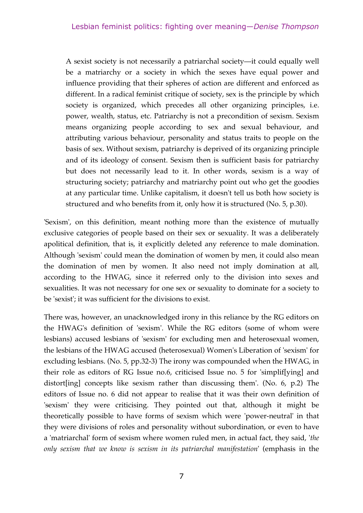A sexist society is not necessarily a patriarchal society—it could equally well be a matriarchy or a society in which the sexes have equal power and influence providing that their spheres of action are different and enforced as different. In a radical feminist critique of society, sex is the principle by which society is organized, which precedes all other organizing principles, i.e. power, wealth, status, etc. Patriarchy is not a precondition of sexism. Sexism means organizing people according to sex and sexual behaviour, and attributing various behaviour, personality and status traits to people on the basis of sex. Without sexism, patriarchy is deprived of its organizing principle and of its ideology of consent. Sexism then is sufficient basis for patriarchy but does not necessarily lead to it. In other words, sexism is a way of structuring society; patriarchy and matriarchy point out who get the goodies at any particular time. Unlike capitalism, it doesn't tell us both how society is structured and who benefits from it, only how it is structured (No. 5, p.30).

'Sexism', on this definition, meant nothing more than the existence of mutually exclusive categories of people based on their sex or sexuality. It was a deliberately apolitical definition, that is, it explicitly deleted any reference to male domination. Although 'sexism' could mean the domination of women by men, it could also mean the domination of men by women. It also need not imply domination at all, according to the HWAG, since it referred only to the division into sexes and sexualities. It was not necessary for one sex or sexuality to dominate for a society to be 'sexist'; it was sufficient for the divisions to exist.

There was, however, an unacknowledged irony in this reliance by the RG editors on the HWAG's definition of 'sexism'. While the RG editors (some of whom were lesbians) accused lesbians of 'sexism' for excluding men and heterosexual women, the lesbians of the HWAG accused (heterosexual) Women's Liberation of 'sexism' for excluding lesbians. (No. 5, pp.32-3) The irony was compounded when the HWAG, in their role as editors of RG Issue no.6, criticised Issue no. 5 for 'simplif[ying] and distort[ing] concepts like sexism rather than discussing them'. (No. 6, p.2) The editors of Issue no. 6 did not appear to realise that it was their own definition of 'sexism' they were criticising. They pointed out that, although it might be theoretically possible to have forms of sexism which were 'power-neutral' in that they were divisions of roles and personality without subordination, or even to have a 'matriarchal' form of sexism where women ruled men, in actual fact, they said, '*the only sexism that we know is sexism in its patriarchal manifestation*' (emphasis in the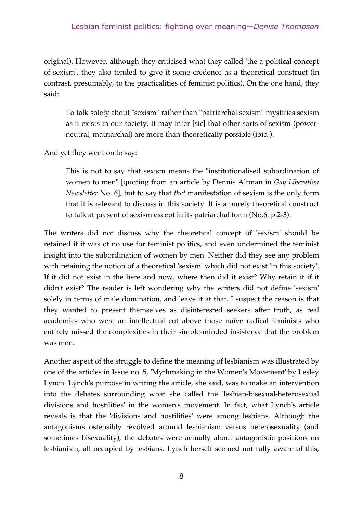#### Lesbian feminist politics: fighting over meaning—*Denise Thompson*

original). However, although they criticised what they called 'the a-political concept of sexism', they also tended to give it some credence as a theoretical construct (in contrast, presumably, to the practicalities of feminist politics). On the one hand, they said:

To talk solely about "sexism" rather than "patriarchal sexism" mystifies sexism as it exists in our society. It may infer [sic] that other sorts of sexism (powerneutral, matriarchal) are more-than-theoretically possible (ibid.).

And yet they went on to say:

This is not to say that sexism means the "institutionalised subordination of women to men" [quoting from an article by Dennis Altman in *Gay Liberation Newsletter* No. 6], but to say that *that* manifestation of sexism is the only form that it is relevant to discuss in this society. It is a purely theoretical construct to talk at present of sexism except in its patriarchal form (No.6, p.2-3).

The writers did not discuss why the theoretical concept of 'sexism' should be retained if it was of no use for feminist politics, and even undermined the feminist insight into the subordination of women by men. Neither did they see any problem with retaining the notion of a theoretical 'sexism' which did not exist 'in this society'. If it did not exist in the here and now, where then did it exist? Why retain it if it didn't exist? The reader is left wondering why the writers did not define 'sexism' solely in terms of male domination, and leave it at that. I suspect the reason is that they wanted to present themselves as disinterested seekers after truth, as real academics who were an intellectual cut above those naïve radical feminists who entirely missed the complexities in their simple-minded insistence that the problem was men.

Another aspect of the struggle to define the meaning of lesbianism was illustrated by one of the articles in Issue no. 5, 'Mythmaking in the Women's Movement' by Lesley Lynch. Lynch's purpose in writing the article, she said, was to make an intervention into the debates surrounding what she called the 'lesbian-bisexual-heterosexual divisions and hostilities' in the women's movement. In fact, what Lynch's article reveals is that the 'divisions and hostilities' were among lesbians. Although the antagonisms ostensibly revolved around lesbianism versus heterosexuality (and sometimes bisexuality), the debates were actually about antagonistic positions on lesbianism, all occupied by lesbians. Lynch herself seemed not fully aware of this,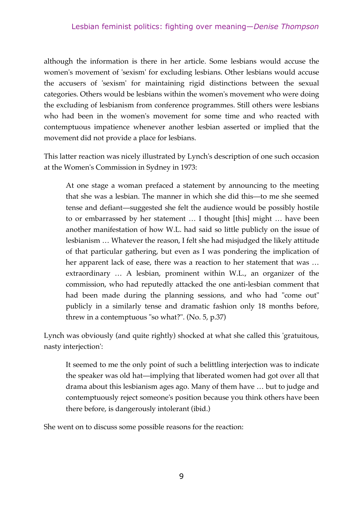although the information is there in her article. Some lesbians would accuse the women's movement of 'sexism' for excluding lesbians. Other lesbians would accuse the accusers of 'sexism' for maintaining rigid distinctions between the sexual categories. Others would be lesbians within the women's movement who were doing the excluding of lesbianism from conference programmes. Still others were lesbians who had been in the women's movement for some time and who reacted with contemptuous impatience whenever another lesbian asserted or implied that the movement did not provide a place for lesbians.

This latter reaction was nicely illustrated by Lynch's description of one such occasion at the Women's Commission in Sydney in 1973:

At one stage a woman prefaced a statement by announcing to the meeting that she was a lesbian. The manner in which she did this—to me she seemed tense and defiant—suggested she felt the audience would be possibly hostile to or embarrassed by her statement … I thought [this] might … have been another manifestation of how W.L. had said so little publicly on the issue of lesbianism … Whatever the reason, I felt she had misjudged the likely attitude of that particular gathering, but even as I was pondering the implication of her apparent lack of ease, there was a reaction to her statement that was … extraordinary … A lesbian, prominent within W.L., an organizer of the commission, who had reputedly attacked the one anti-lesbian comment that had been made during the planning sessions, and who had "come out" publicly in a similarly tense and dramatic fashion only 18 months before, threw in a contemptuous "so what?". (No. 5, p.37)

Lynch was obviously (and quite rightly) shocked at what she called this 'gratuitous, nasty interjection':

It seemed to me the only point of such a belittling interjection was to indicate the speaker was old hat—implying that liberated women had got over all that drama about this lesbianism ages ago. Many of them have … but to judge and contemptuously reject someone's position because you think others have been there before, is dangerously intolerant (ibid.)

She went on to discuss some possible reasons for the reaction: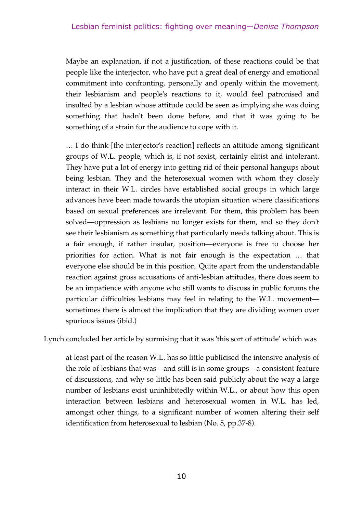Maybe an explanation, if not a justification, of these reactions could be that people like the interjector, who have put a great deal of energy and emotional commitment into confronting, personally and openly within the movement, their lesbianism and people's reactions to it, would feel patronised and insulted by a lesbian whose attitude could be seen as implying she was doing something that hadn't been done before, and that it was going to be something of a strain for the audience to cope with it.

… I do think [the interjector's reaction] reflects an attitude among significant groups of W.L. people, which is, if not sexist, certainly elitist and intolerant. They have put a lot of energy into getting rid of their personal hangups about being lesbian. They and the heterosexual women with whom they closely interact in their W.L. circles have established social groups in which large advances have been made towards the utopian situation where classifications based on sexual preferences are irrelevant. For them, this problem has been solved—oppression as lesbians no longer exists for them, and so they don't see their lesbianism as something that particularly needs talking about. This is a fair enough, if rather insular, position—everyone is free to choose her priorities for action. What is not fair enough is the expectation … that everyone else should be in this position. Quite apart from the understandable reaction against gross accusations of anti-lesbian attitudes, there does seem to be an impatience with anyone who still wants to discuss in public forums the particular difficulties lesbians may feel in relating to the W.L. movement sometimes there is almost the implication that they are dividing women over spurious issues (ibid.)

Lynch concluded her article by surmising that it was 'this sort of attitude' which was

at least part of the reason W.L. has so little publicised the intensive analysis of the role of lesbians that was—and still is in some groups—a consistent feature of discussions, and why so little has been said publicly about the way a large number of lesbians exist uninhibitedly within W.L., or about how this open interaction between lesbians and heterosexual women in W.L. has led, amongst other things, to a significant number of women altering their self identification from heterosexual to lesbian (No. 5, pp.37-8).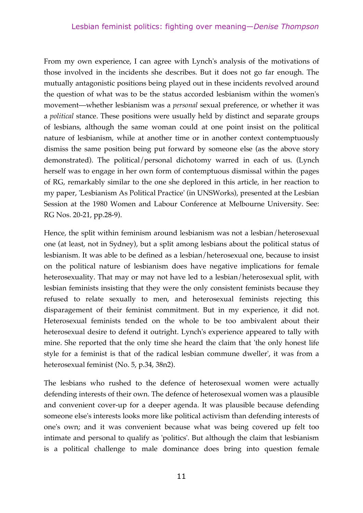From my own experience, I can agree with Lynch's analysis of the motivations of those involved in the incidents she describes. But it does not go far enough. The mutually antagonistic positions being played out in these incidents revolved around the question of what was to be the status accorded lesbianism within the women's movement—whether lesbianism was a *personal* sexual preference, or whether it was a *political* stance. These positions were usually held by distinct and separate groups of lesbians, although the same woman could at one point insist on the political nature of lesbianism, while at another time or in another context contemptuously dismiss the same position being put forward by someone else (as the above story demonstrated). The political/personal dichotomy warred in each of us. (Lynch herself was to engage in her own form of contemptuous dismissal within the pages of RG, remarkably similar to the one she deplored in this article, in her reaction to my paper, 'Lesbianism As Political Practice' (in UNSWorks), presented at the Lesbian Session at the 1980 Women and Labour Conference at Melbourne University. See: RG Nos. 20-21, pp.28-9).

Hence, the split within feminism around lesbianism was not a lesbian/heterosexual one (at least, not in Sydney), but a split among lesbians about the political status of lesbianism. It was able to be defined as a lesbian/heterosexual one, because to insist on the political nature of lesbianism does have negative implications for female heterosexuality. That may or may not have led to a lesbian/heterosexual split, with lesbian feminists insisting that they were the only consistent feminists because they refused to relate sexually to men, and heterosexual feminists rejecting this disparagement of their feminist commitment. But in my experience, it did not. Heterosexual feminists tended on the whole to be too ambivalent about their heterosexual desire to defend it outright. Lynch's experience appeared to tally with mine. She reported that the only time she heard the claim that 'the only honest life style for a feminist is that of the radical lesbian commune dweller', it was from a heterosexual feminist (No. 5, p.34, 38n2).

The lesbians who rushed to the defence of heterosexual women were actually defending interests of their own. The defence of heterosexual women was a plausible and convenient cover-up for a deeper agenda. It was plausible because defending someone else's interests looks more like political activism than defending interests of one's own; and it was convenient because what was being covered up felt too intimate and personal to qualify as 'politics'. But although the claim that lesbianism is a political challenge to male dominance does bring into question female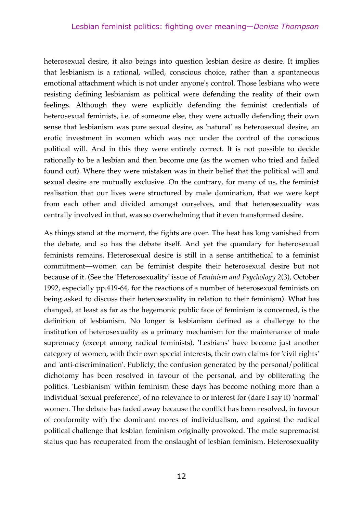heterosexual desire, it also beings into question lesbian desire *as* desire. It implies that lesbianism is a rational, willed, conscious choice, rather than a spontaneous emotional attachment which is not under anyone's control. Those lesbians who were resisting defining lesbianism as political were defending the reality of their own feelings. Although they were explicitly defending the feminist credentials of heterosexual feminists, i.e. of someone else, they were actually defending their own sense that lesbianism was pure sexual desire, as 'natural' as heterosexual desire, an erotic investment in women which was not under the control of the conscious political will. And in this they were entirely correct. It is not possible to decide rationally to be a lesbian and then become one (as the women who tried and failed found out). Where they were mistaken was in their belief that the political will and sexual desire are mutually exclusive. On the contrary, for many of us, the feminist realisation that our lives were structured by male domination, that we were kept from each other and divided amongst ourselves, and that heterosexuality was centrally involved in that, was so overwhelming that it even transformed desire.

As things stand at the moment, the fights are over. The heat has long vanished from the debate, and so has the debate itself. And yet the quandary for heterosexual feminists remains. Heterosexual desire is still in a sense antithetical to a feminist commitment—women can be feminist despite their heterosexual desire but not because of it. (See the 'Heterosexuality' issue of *Feminism and Psychology* 2(3), October 1992, especially pp.419-64, for the reactions of a number of heterosexual feminists on being asked to discuss their heterosexuality in relation to their feminism). What has changed, at least as far as the hegemonic public face of feminism is concerned, is the definition of lesbianism. No longer is lesbianism defined as a challenge to the institution of heterosexuality as a primary mechanism for the maintenance of male supremacy (except among radical feminists). 'Lesbians' have become just another category of women, with their own special interests, their own claims for 'civil rights' and 'anti-discrimination'. Publicly, the confusion generated by the personal/political dichotomy has been resolved in favour of the personal, and by obliterating the politics. 'Lesbianism' within feminism these days has become nothing more than a individual 'sexual preference', of no relevance to or interest for (dare I say it) 'normal' women. The debate has faded away because the conflict has been resolved, in favour of conformity with the dominant mores of individualism, and against the radical political challenge that lesbian feminism originally provoked. The male supremacist status quo has recuperated from the onslaught of lesbian feminism. Heterosexuality